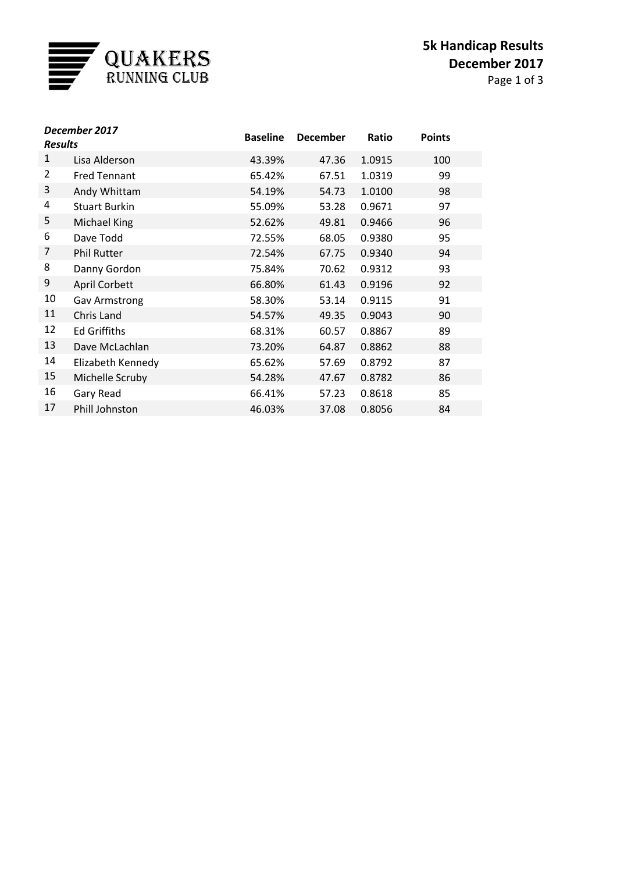

Page 1 of 3

| December 2017<br><b>Results</b> |                      | <b>Baseline</b> | <b>December</b> | Ratio  | <b>Points</b> |
|---------------------------------|----------------------|-----------------|-----------------|--------|---------------|
| 1                               | Lisa Alderson        | 43.39%          | 47.36           | 1.0915 | 100           |
| $\overline{2}$                  | <b>Fred Tennant</b>  | 65.42%          | 67.51           | 1.0319 | 99            |
| 3                               | Andy Whittam         | 54.19%          | 54.73           | 1.0100 | 98            |
| 4                               | <b>Stuart Burkin</b> | 55.09%          | 53.28           | 0.9671 | 97            |
| 5                               | Michael King         | 52.62%          | 49.81           | 0.9466 | 96            |
| 6                               | Dave Todd            | 72.55%          | 68.05           | 0.9380 | 95            |
| 7                               | <b>Phil Rutter</b>   | 72.54%          | 67.75           | 0.9340 | 94            |
| 8                               | Danny Gordon         | 75.84%          | 70.62           | 0.9312 | 93            |
| 9                               | April Corbett        | 66.80%          | 61.43           | 0.9196 | 92            |
| 10                              | <b>Gav Armstrong</b> | 58.30%          | 53.14           | 0.9115 | 91            |
| 11                              | Chris Land           | 54.57%          | 49.35           | 0.9043 | 90            |
| 12                              | <b>Ed Griffiths</b>  | 68.31%          | 60.57           | 0.8867 | 89            |
| 13                              | Dave McLachlan       | 73.20%          | 64.87           | 0.8862 | 88            |
| 14                              | Elizabeth Kennedy    | 65.62%          | 57.69           | 0.8792 | 87            |
| 15                              | Michelle Scruby      | 54.28%          | 47.67           | 0.8782 | 86            |
| 16                              | Gary Read            | 66.41%          | 57.23           | 0.8618 | 85            |
| 17                              | Phill Johnston       | 46.03%          | 37.08           | 0.8056 | 84            |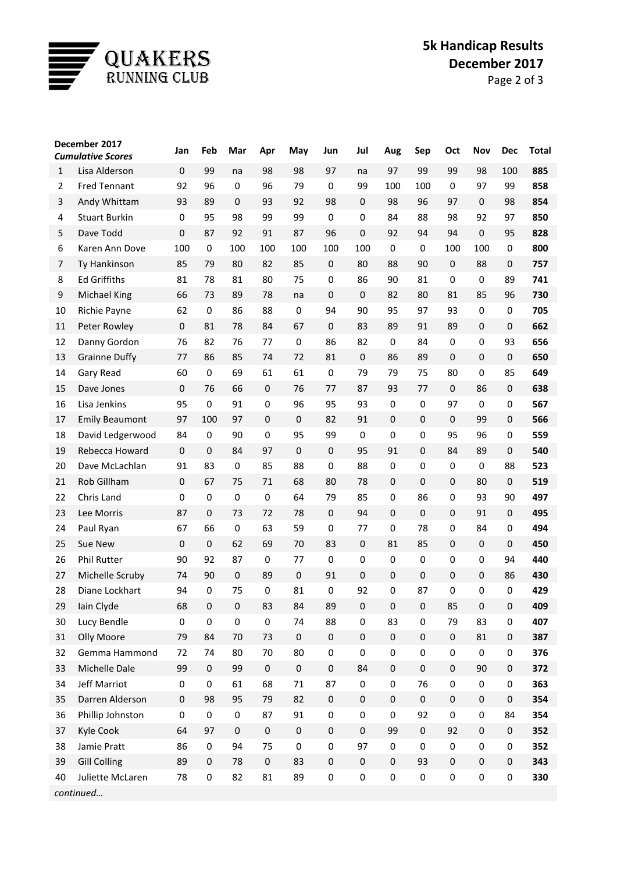

## **5k Handicap Results December 2017**

Page 2 of 3

| <b>Cumulative Scores</b><br>$\mathbf 0$<br>99<br>99<br>98<br>98<br>97<br>97<br>99<br>98<br>100<br>Lisa Alderson<br>$\mathbf{1}$<br>na<br>na                       | 885 |  |  |  |  |  |  |  |  |
|-------------------------------------------------------------------------------------------------------------------------------------------------------------------|-----|--|--|--|--|--|--|--|--|
|                                                                                                                                                                   |     |  |  |  |  |  |  |  |  |
|                                                                                                                                                                   |     |  |  |  |  |  |  |  |  |
| <b>Fred Tennant</b><br>92<br>96<br>$\mathbf 0$<br>96<br>79<br>$\Omega$<br>99<br>100<br>100<br>$\mathbf 0$<br>97<br>99<br>$\overline{2}$                           | 858 |  |  |  |  |  |  |  |  |
| 93<br>89<br>$\mathbf 0$<br>3<br>Andy Whittam<br>93<br>92<br>98<br>0<br>98<br>96<br>97<br>$\pmb{0}$<br>98                                                          | 854 |  |  |  |  |  |  |  |  |
| <b>Stuart Burkin</b><br>95<br>98<br>99<br>99<br>$\mathbf 0$<br>84<br>88<br>98<br>92<br>97<br>4<br>0<br>0                                                          | 850 |  |  |  |  |  |  |  |  |
| $\mathbf 0$<br>91<br>0<br>94<br>$\pmb{0}$<br>5<br>Dave Todd<br>87<br>92<br>87<br>96<br>92<br>94<br>95                                                             | 828 |  |  |  |  |  |  |  |  |
| 6<br>100<br>100<br>100<br>100<br>100<br>100<br>100<br>100<br>Karen Ann Dove<br>$\mathbf 0$<br>$\mathbf 0$<br>0<br>0                                               | 800 |  |  |  |  |  |  |  |  |
| 85<br>$\pmb{0}$<br>$\pmb{0}$<br>Ty Hankinson<br>79<br>80<br>82<br>85<br>80<br>88<br>90<br>88<br>0<br>7                                                            | 757 |  |  |  |  |  |  |  |  |
| <b>Ed Griffiths</b><br>81<br>78<br>81<br>80<br>75<br>$\mathbf 0$<br>86<br>81<br>$\mathbf 0$<br>0<br>89<br>8<br>90                                                 | 741 |  |  |  |  |  |  |  |  |
| 9<br><b>Michael King</b><br>66<br>73<br>89<br>78<br>$\mathbf 0$<br>0<br>82<br>80<br>81<br>85<br>96<br>na                                                          | 730 |  |  |  |  |  |  |  |  |
| 62<br>86<br>88<br>94<br>90<br>95<br>97<br>93<br>$\pmb{0}$<br>10<br>Richie Payne<br>$\mathbf 0$<br>$\mathbf 0$<br>0                                                | 705 |  |  |  |  |  |  |  |  |
| $\pmb{0}$<br>$\pmb{0}$<br>11<br>Peter Rowley<br>81<br>78<br>84<br>67<br>83<br>89<br>91<br>89<br>$\pmb{0}$<br>$\pmb{0}$                                            | 662 |  |  |  |  |  |  |  |  |
| 82<br>76<br>86<br>82<br>84<br>$\mathbf 0$<br>93<br>12<br>Danny Gordon<br>76<br>77<br>0<br>$\pmb{0}$<br>0                                                          | 656 |  |  |  |  |  |  |  |  |
| 0<br>13<br><b>Grainne Duffy</b><br>77<br>86<br>85<br>74<br>72<br>81<br>0<br>86<br>89<br>$\pmb{0}$<br>$\pmb{0}$                                                    | 650 |  |  |  |  |  |  |  |  |
| 60<br>$\mathbf 0$<br>69<br>61<br>0<br>79<br>75<br>80<br>0<br>85<br>14<br>Gary Read<br>61<br>79                                                                    | 649 |  |  |  |  |  |  |  |  |
| $\mathbf 0$<br>$\pmb{0}$<br>15<br>76<br>66<br>$\pmb{0}$<br>76<br>77<br>87<br>93<br>77<br>86<br>$\pmb{0}$<br>Dave Jones                                            | 638 |  |  |  |  |  |  |  |  |
| Lisa Jenkins<br>95<br>91<br>96<br>95<br>93<br>97<br>16<br>$\mathbf 0$<br>0<br>0<br>0<br>0<br>0                                                                    | 567 |  |  |  |  |  |  |  |  |
| 17<br><b>Emily Beaumont</b><br>97<br>97<br>$\pmb{0}$<br>$\mathbf 0$<br>82<br>91<br>$\pmb{0}$<br>$\mathbf 0$<br>$\mathbf 0$<br>99<br>$\pmb{0}$<br>100              | 566 |  |  |  |  |  |  |  |  |
| 84<br>90<br>95<br>99<br>95<br>96<br>18<br>David Ledgerwood<br>$\mathbf 0$<br>0<br>0<br>0<br>0<br>0                                                                | 559 |  |  |  |  |  |  |  |  |
| $\mathbf 0$<br>$\mathbf 0$<br>$\mathbf 0$<br>$\mathbf 0$<br>19<br>Rebecca Howard<br>84<br>97<br>$\mathbf 0$<br>95<br>91<br>84<br>89<br>0                          | 540 |  |  |  |  |  |  |  |  |
| 91<br>83<br>85<br>88<br>$\mathbf 0$<br>88<br>88<br>20<br>Dave McLachlan<br>0<br>$\pmb{0}$<br>0<br>$\boldsymbol{0}$<br>0                                           | 523 |  |  |  |  |  |  |  |  |
| Rob Gillham<br>0<br>21<br>$\mathbf 0$<br>67<br>75<br>71<br>68<br>80<br>78<br>$\pmb{0}$<br>$\mathbf 0$<br>80<br>0                                                  | 519 |  |  |  |  |  |  |  |  |
| $\mathbf 0$<br>79<br>86<br>93<br>90<br>22<br>Chris Land<br>0<br>$\mathbf 0$<br>0<br>64<br>85<br>0<br>0                                                            | 497 |  |  |  |  |  |  |  |  |
| 87<br>$\pmb{0}$<br>$\pmb{0}$<br>0<br>23<br>Lee Morris<br>$\mathbf{0}$<br>73<br>72<br>78<br>94<br>$\pmb{0}$<br>91<br>$\pmb{0}$                                     | 495 |  |  |  |  |  |  |  |  |
| 67<br>66<br>63<br>59<br>$\mathbf 0$<br>84<br>24<br>Paul Ryan<br>$\pmb{0}$<br>77<br>0<br>78<br>0<br>0                                                              | 494 |  |  |  |  |  |  |  |  |
| $\mathbf 0$<br>25<br>Sue New<br>$\mathbf{0}$<br>62<br>69<br>70<br>83<br>0<br>81<br>85<br>0<br>$\pmb{0}$<br>$\pmb{0}$                                              | 450 |  |  |  |  |  |  |  |  |
| Phil Rutter<br>90<br>92<br>87<br>0<br>0<br>0<br>94<br>26<br>0<br>77<br>$\mathbf 0$<br>0<br>0                                                                      | 440 |  |  |  |  |  |  |  |  |
| 0<br>27<br>Michelle Scruby<br>74<br>90<br>$\mathbf 0$<br>89<br>$\mathbf 0$<br>91<br>$\pmb{0}$<br>$\pmb{0}$<br>$\mathbf 0$<br>$\pmb{0}$<br>86                      | 430 |  |  |  |  |  |  |  |  |
| $\mathbf 0$<br>92<br>28<br>94<br>$\mathbf 0$<br>75<br>$\pmb{0}$<br>81<br>0<br>87<br>0<br>0<br>$\pmb{0}$<br>Diane Lockhart                                         | 429 |  |  |  |  |  |  |  |  |
| 29<br>Iain Clyde<br>68<br>83<br>84<br>89<br>$\pmb{0}$<br>85<br>$\pmb{0}$<br>$\pmb{0}$<br>$\pmb{0}$<br>$\pmb{0}$<br>$\pmb{0}$<br>$\boldsymbol{0}$                  | 409 |  |  |  |  |  |  |  |  |
| Lucy Bendle<br>$\pmb{0}$<br>$\pmb{0}$<br>$\pmb{0}$<br>$\pmb{0}$<br>74<br>88<br>0<br>83<br>$\pmb{0}$<br>79<br>83<br>$\pmb{0}$<br>30                                | 407 |  |  |  |  |  |  |  |  |
| $\pmb{0}$<br>$\pmb{0}$<br>$\pmb{0}$<br>Olly Moore<br>84<br>70<br>73<br>$\pmb{0}$<br>$\pmb{0}$<br>$\pmb{0}$<br>81<br>$\pmb{0}$<br>31<br>79                         | 387 |  |  |  |  |  |  |  |  |
| Gemma Hammond<br>80<br>$\pmb{0}$<br>$\pmb{0}$<br>$\boldsymbol{0}$<br>72<br>74<br>80<br>70<br>$\pmb{0}$<br>$\pmb{0}$<br>$\pmb{0}$<br>$\pmb{0}$<br>32               | 376 |  |  |  |  |  |  |  |  |
| 99<br>$\pmb{0}$<br>$\boldsymbol{0}$<br>$\boldsymbol{0}$<br>Michelle Dale<br>$\pmb{0}$<br>99<br>$\pmb{0}$<br>$\pmb{0}$<br>$\pmb{0}$<br>90<br>$\pmb{0}$<br>33<br>84 | 372 |  |  |  |  |  |  |  |  |
| 61<br>Jeff Marriot<br>$\pmb{0}$<br>$\pmb{0}$<br>68<br>$71\,$<br>87<br>0<br>$\pmb{0}$<br>76<br>$\pmb{0}$<br>$\pmb{0}$<br>$\pmb{0}$<br>34                           | 363 |  |  |  |  |  |  |  |  |
| Darren Alderson<br>82<br>$\pmb{0}$<br>$\pmb{0}$<br>$\pmb{0}$<br>$\pmb{0}$<br>$\pmb{0}$<br>$\pmb{0}$<br>35<br>$\mathbf 0$<br>98<br>95<br>79<br>$\pmb{0}$           | 354 |  |  |  |  |  |  |  |  |
| $\pmb{0}$<br>91<br>$\pmb{0}$<br>92<br>$\boldsymbol{0}$<br>$\pmb{0}$<br>Phillip Johnston<br>$\pmb{0}$<br>$\pmb{0}$<br>87<br>$\pmb{0}$<br>$\pmb{0}$<br>84<br>36     | 354 |  |  |  |  |  |  |  |  |
| $\pmb{0}$<br>$\pmb{0}$<br>Kyle Cook<br>64<br>97<br>$\pmb{0}$<br>$\pmb{0}$<br>$\pmb{0}$<br>$\pmb{0}$<br>99<br>92<br>$\pmb{0}$<br>$\pmb{0}$<br>37                   | 352 |  |  |  |  |  |  |  |  |
| Jamie Pratt<br>86<br>$\pmb{0}$<br>94<br>75<br>$\pmb{0}$<br>$\pmb{0}$<br>97<br>$\boldsymbol{0}$<br>$\pmb{0}$<br>$\pmb{0}$<br>$\pmb{0}$<br>$\pmb{0}$<br>38          | 352 |  |  |  |  |  |  |  |  |
| <b>Gill Colling</b><br>89<br>$\pmb{0}$<br>83<br>$\pmb{0}$<br>$\pmb{0}$<br>93<br>$\pmb{0}$<br>$\pmb{0}$<br>$\pmb{0}$<br>$\mathbf 0$<br>78<br>$\pmb{0}$<br>39       | 343 |  |  |  |  |  |  |  |  |
| 82<br>81<br>89<br>$\pmb{0}$<br>$\pmb{0}$<br>$\pmb{0}$<br>$\pmb{0}$<br>Juliette McLaren<br>78<br>$\pmb{0}$<br>$\pmb{0}$<br>$\pmb{0}$<br>0<br>40                    | 330 |  |  |  |  |  |  |  |  |
| continued                                                                                                                                                         |     |  |  |  |  |  |  |  |  |